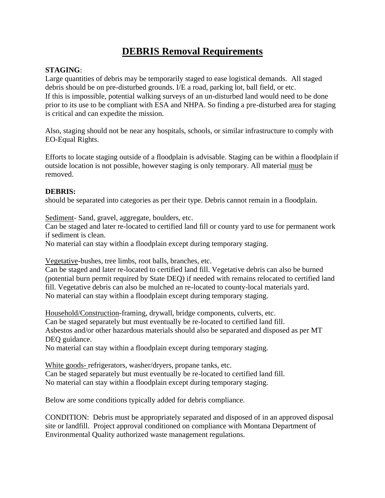## **DEBRIS Removal Requirements**

## **STAGING**:

Large quantities of debris may be temporarily staged to ease logistical demands. All staged debris should be on pre-disturbed grounds. I/E a road, parking lot, ball field, or etc. If this is impossible, potential walking surveys of an un-disturbed land would need to be done prior to its use to be compliant with ESA and NHPA. So finding a pre-disturbed area for staging is critical and can expedite the mission.

Also, staging should not be near any hospitals, schools, or similar infrastructure to comply with EO-Equal Rights.

Efforts to locate staging outside of a floodplain is advisable. Staging can be within a floodplain if outside location is not possible, however staging is only temporary. All material must be removed.

## **DEBRIS:**

should be separated into categories as per their type. Debris cannot remain in a floodplain.

Sediment- Sand, gravel, aggregate, boulders, etc.

Can be staged and later re-located to certified land fill or county yard to use for permanent work if sediment is clean.

No material can stay within a floodplain except during temporary staging.

Vegetative-bushes, tree limbs, root balls, branches, etc.

Can be staged and later re-located to certified land fill. Vegetative debris can also be burned (potential burn permit required by State DEQ) if needed with remains relocated to certified land fill. Vegetative debris can also be mulched an re-located to county-local materials yard. No material can stay within a floodplain except during temporary staging.

Household/Construction-framing, drywall, bridge components, culverts, etc. Can be staged separately but must eventually be re-located to certified land fill. Asbestos and/or other hazardous materials should also be separated and disposed as per MT DEQ guidance.

No material can stay within a floodplain except during temporary staging.

White goods- refrigerators, washer/dryers, propane tanks, etc. Can be staged separately but must eventually be re-located to certified land fill. No material can stay within a floodplain except during temporary staging.

Below are some conditions typically added for debris compliance.

CONDITION: Debris must be appropriately separated and disposed of in an approved disposal site or landfill. Project approval conditioned on compliance with Montana Department of Environmental Quality authorized waste management regulations.